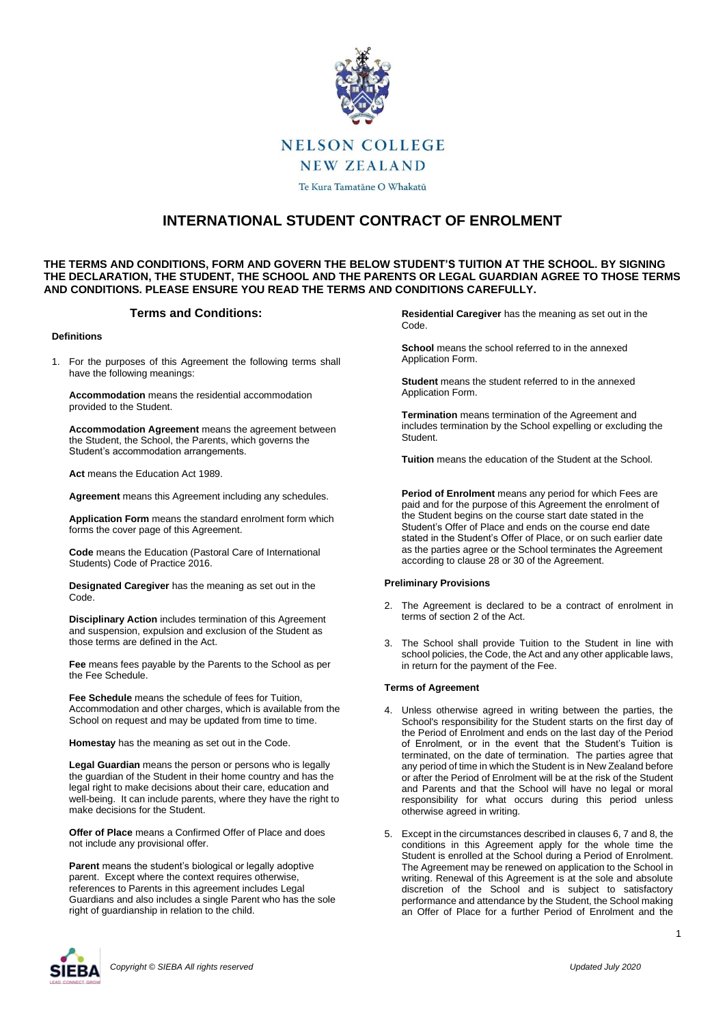

# **NELSON COLLEGE**

**NEW ZEALAND** 

Te Kura Tamatāne O Whakatū

# **INTERNATIONAL STUDENT CONTRACT OF ENROLMENT**

## **THE TERMS AND CONDITIONS, FORM AND GOVERN THE BELOW STUDENT'S TUITION AT THE SCHOOL. BY SIGNING THE DECLARATION, THE STUDENT, THE SCHOOL AND THE PARENTS OR LEGAL GUARDIAN AGREE TO THOSE TERMS AND CONDITIONS. PLEASE ENSURE YOU READ THE TERMS AND CONDITIONS CAREFULLY.**

# **Terms and Conditions:**

#### **Definitions**

1. For the purposes of this Agreement the following terms shall have the following meanings:

**Accommodation** means the residential accommodation provided to the Student.

**Accommodation Agreement** means the agreement between the Student, the School, the Parents, which governs the Student's accommodation arrangements.

**Act** means the Education Act 1989.

**Agreement** means this Agreement including any schedules.

**Application Form** means the standard enrolment form which forms the cover page of this Agreement.

**Code** means the Education (Pastoral Care of International Students) Code of Practice 2016.

**Designated Caregiver** has the meaning as set out in the Code.

**Disciplinary Action** includes termination of this Agreement and suspension, expulsion and exclusion of the Student as those terms are defined in the Act.

**Fee** means fees payable by the Parents to the School as per the Fee Schedule.

**Fee Schedule** means the schedule of fees for Tuition, Accommodation and other charges, which is available from the School on request and may be updated from time to time.

**Homestay** has the meaning as set out in the Code.

**Legal Guardian** means the person or persons who is legally the guardian of the Student in their home country and has the legal right to make decisions about their care, education and well-being. It can include parents, where they have the right to make decisions for the Student.

**Offer of Place** means a Confirmed Offer of Place and does not include any provisional offer.

**Parent** means the student's biological or legally adoptive parent. Except where the context requires otherwise, references to Parents in this agreement includes Legal Guardians and also includes a single Parent who has the sole right of guardianship in relation to the child.

**Residential Caregiver** has the meaning as set out in the Code.

**School** means the school referred to in the annexed Application Form.

**Student** means the student referred to in the annexed Application Form.

**Termination** means termination of the Agreement and includes termination by the School expelling or excluding the **Student** 

**Tuition** means the education of the Student at the School.

**Period of Enrolment** means any period for which Fees are paid and for the purpose of this Agreement the enrolment of the Student begins on the course start date stated in the Student's Offer of Place and ends on the course end date stated in the Student's Offer of Place, or on such earlier date as the parties agree or the School terminates the Agreement according to clause 28 or 30 of the Agreement.

#### **Preliminary Provisions**

- 2. The Agreement is declared to be a contract of enrolment in terms of section 2 of the Act.
- 3. The School shall provide Tuition to the Student in line with school policies, the Code, the Act and any other applicable laws, in return for the payment of the Fee.

#### **Terms of Agreement**

- 4. Unless otherwise agreed in writing between the parties, the School's responsibility for the Student starts on the first day of the Period of Enrolment and ends on the last day of the Period of Enrolment, or in the event that the Student's Tuition is terminated, on the date of termination. The parties agree that any period of time in which the Student is in New Zealand before or after the Period of Enrolment will be at the risk of the Student and Parents and that the School will have no legal or moral responsibility for what occurs during this period unless otherwise agreed in writing.
- 5. Except in the circumstances described in clauses 6, 7 and 8, the conditions in this Agreement apply for the whole time the Student is enrolled at the School during a Period of Enrolment. The Agreement may be renewed on application to the School in writing. Renewal of this Agreement is at the sole and absolute discretion of the School and is subject to satisfactory performance and attendance by the Student, the School making an Offer of Place for a further Period of Enrolment and the

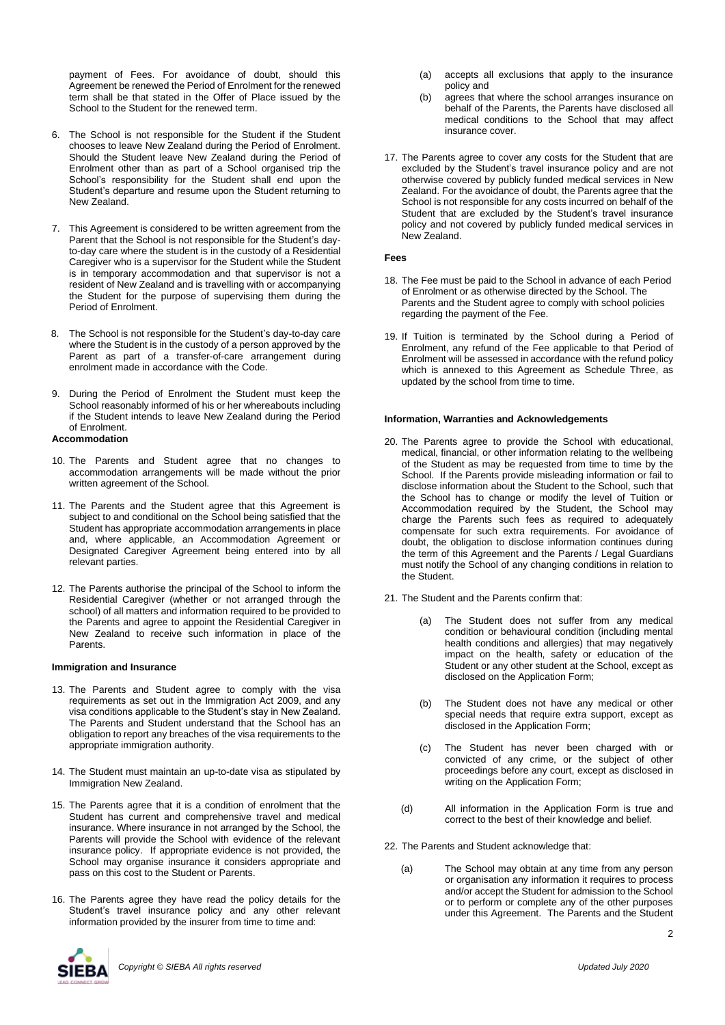payment of Fees. For avoidance of doubt, should this Agreement be renewed the Period of Enrolment for the renewed term shall be that stated in the Offer of Place issued by the School to the Student for the renewed term.

- 6. The School is not responsible for the Student if the Student chooses to leave New Zealand during the Period of Enrolment. Should the Student leave New Zealand during the Period of Enrolment other than as part of a School organised trip the School's responsibility for the Student shall end upon the Student's departure and resume upon the Student returning to New Zealand.
- 7. This Agreement is considered to be written agreement from the Parent that the School is not responsible for the Student's dayto-day care where the student is in the custody of a Residential Caregiver who is a supervisor for the Student while the Student is in temporary accommodation and that supervisor is not a resident of New Zealand and is travelling with or accompanying the Student for the purpose of supervising them during the Period of Enrolment.
- 8. The School is not responsible for the Student's day-to-day care where the Student is in the custody of a person approved by the Parent as part of a transfer-of-care arrangement during enrolment made in accordance with the Code.
- 9. During the Period of Enrolment the Student must keep the School reasonably informed of his or her whereabouts including if the Student intends to leave New Zealand during the Period of Enrolment.

#### **Accommodation**

- 10. The Parents and Student agree that no changes to accommodation arrangements will be made without the prior written agreement of the School.
- 11. The Parents and the Student agree that this Agreement is subject to and conditional on the School being satisfied that the Student has appropriate accommodation arrangements in place and, where applicable, an Accommodation Agreement or Designated Caregiver Agreement being entered into by all relevant parties.
- 12. The Parents authorise the principal of the School to inform the Residential Caregiver (whether or not arranged through the school) of all matters and information required to be provided to the Parents and agree to appoint the Residential Caregiver in New Zealand to receive such information in place of the Parents.

#### **Immigration and Insurance**

- 13. The Parents and Student agree to comply with the visa requirements as set out in the Immigration Act 2009, and any visa conditions applicable to the Student's stay in New Zealand. The Parents and Student understand that the School has an obligation to report any breaches of the visa requirements to the appropriate immigration authority.
- 14. The Student must maintain an up-to-date visa as stipulated by Immigration New Zealand.
- 15. The Parents agree that it is a condition of enrolment that the Student has current and comprehensive travel and medical insurance. Where insurance in not arranged by the School, the Parents will provide the School with evidence of the relevant insurance policy. If appropriate evidence is not provided, the School may organise insurance it considers appropriate and pass on this cost to the Student or Parents.
- 16. The Parents agree they have read the policy details for the Student's travel insurance policy and any other relevant information provided by the insurer from time to time and:
- (a) accepts all exclusions that apply to the insurance policy and
- (b) agrees that where the school arranges insurance on behalf of the Parents, the Parents have disclosed all medical conditions to the School that may affect insurance cover.
- 17. The Parents agree to cover any costs for the Student that are excluded by the Student's travel insurance policy and are not otherwise covered by publicly funded medical services in New Zealand. For the avoidance of doubt, the Parents agree that the School is not responsible for any costs incurred on behalf of the Student that are excluded by the Student's travel insurance policy and not covered by publicly funded medical services in New Zealand.

#### **Fees**

- 18. The Fee must be paid to the School in advance of each Period of Enrolment or as otherwise directed by the School. The Parents and the Student agree to comply with school policies regarding the payment of the Fee.
- 19. If Tuition is terminated by the School during a Period of Enrolment, any refund of the Fee applicable to that Period of Enrolment will be assessed in accordance with the refund policy which is annexed to this Agreement as Schedule Three, as updated by the school from time to time.

## **Information, Warranties and Acknowledgements**

- 20. The Parents agree to provide the School with educational, medical, financial, or other information relating to the wellbeing of the Student as may be requested from time to time by the School. If the Parents provide misleading information or fail to disclose information about the Student to the School, such that the School has to change or modify the level of Tuition or Accommodation required by the Student, the School may charge the Parents such fees as required to adequately compensate for such extra requirements. For avoidance of doubt, the obligation to disclose information continues during the term of this Agreement and the Parents / Legal Guardians must notify the School of any changing conditions in relation to the Student.
- 21. The Student and the Parents confirm that:
	- The Student does not suffer from any medical condition or behavioural condition (including mental health conditions and allergies) that may negatively impact on the health, safety or education of the Student or any other student at the School, except as disclosed on the Application Form;
	- (b) The Student does not have any medical or other special needs that require extra support, except as disclosed in the Application Form;
	- (c) The Student has never been charged with or convicted of any crime, or the subject of other proceedings before any court, except as disclosed in writing on the Application Form;
	- (d) All information in the Application Form is true and correct to the best of their knowledge and belief.
- 22. The Parents and Student acknowledge that:
	- (a) The School may obtain at any time from any person or organisation any information it requires to process and/or accept the Student for admission to the School or to perform or complete any of the other purposes under this Agreement. The Parents and the Student

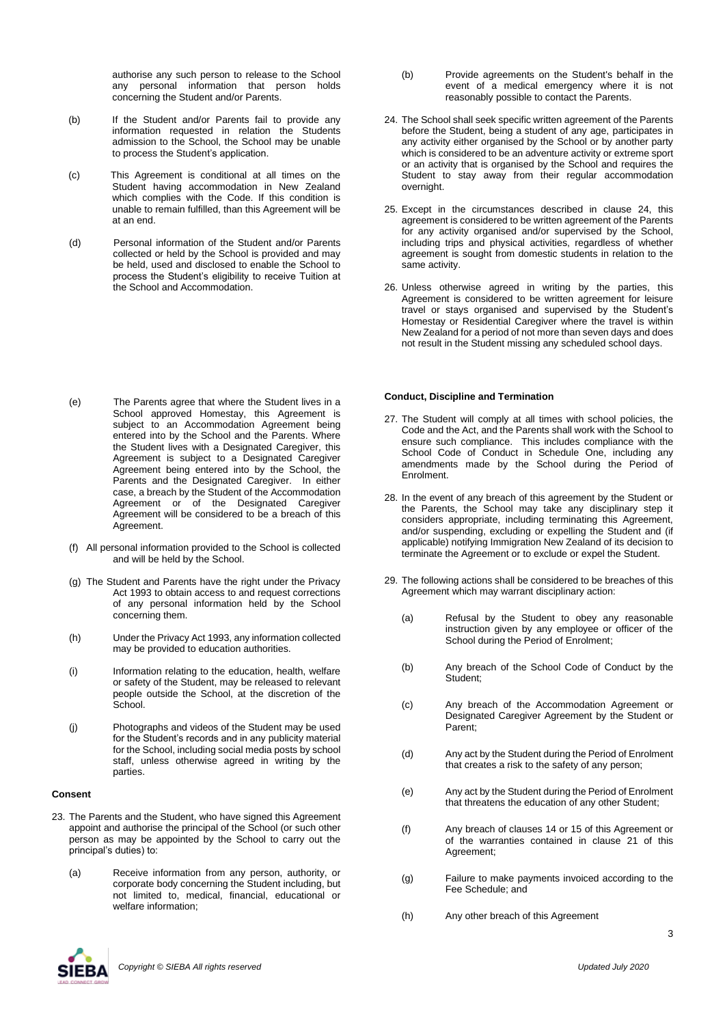authorise any such person to release to the School any personal information that person holds concerning the Student and/or Parents.

- (b) If the Student and/or Parents fail to provide any information requested in relation the Students admission to the School, the School may be unable to process the Student's application.
- (c) This Agreement is conditional at all times on the Student having accommodation in New Zealand which complies with the Code. If this condition is unable to remain fulfilled, than this Agreement will be at an end.
- (d) Personal information of the Student and/or Parents collected or held by the School is provided and may be held, used and disclosed to enable the School to process the Student's eligibility to receive Tuition at the School and Accommodation.

- (e) The Parents agree that where the Student lives in a School approved Homestay, this Agreement is subject to an Accommodation Agreement being entered into by the School and the Parents. Where the Student lives with a Designated Caregiver, this Agreement is subject to a Designated Caregiver Agreement being entered into by the School, the Parents and the Designated Caregiver. In either case, a breach by the Student of the Accommodation Agreement or of the Designated Caregiver Agreement will be considered to be a breach of this Agreement.
- (f) All personal information provided to the School is collected and will be held by the School.
- (g) The Student and Parents have the right under the Privacy Act 1993 to obtain access to and request corrections of any personal information held by the School concerning them.
- (h) Under the Privacy Act 1993, any information collected may be provided to education authorities.
- (i) Information relating to the education, health, welfare or safety of the Student, may be released to relevant people outside the School, at the discretion of the School.
- (j) Photographs and videos of the Student may be used for the Student's records and in any publicity material for the School, including social media posts by school staff, unless otherwise agreed in writing by the parties.

#### **Consent**

- 23. The Parents and the Student, who have signed this Agreement appoint and authorise the principal of the School (or such other person as may be appointed by the School to carry out the principal's duties) to:
	- (a) Receive information from any person, authority, or corporate body concerning the Student including, but not limited to, medical, financial, educational or welfare information;
- (b) Provide agreements on the Student's behalf in the event of a medical emergency where it is not reasonably possible to contact the Parents.
- 24. The School shall seek specific written agreement of the Parents before the Student, being a student of any age, participates in any activity either organised by the School or by another party which is considered to be an adventure activity or extreme sport or an activity that is organised by the School and requires the Student to stay away from their regular accommodation overnight.
- 25. Except in the circumstances described in clause 24, this agreement is considered to be written agreement of the Parents for any activity organised and/or supervised by the School, including trips and physical activities, regardless of whether agreement is sought from domestic students in relation to the same activity.
- 26. Unless otherwise agreed in writing by the parties, this Agreement is considered to be written agreement for leisure travel or stays organised and supervised by the Student's Homestay or Residential Caregiver where the travel is within New Zealand for a period of not more than seven days and does not result in the Student missing any scheduled school days.

#### **Conduct, Discipline and Termination**

- 27. The Student will comply at all times with school policies, the Code and the Act, and the Parents shall work with the School to ensure such compliance. This includes compliance with the School Code of Conduct in Schedule One, including any amendments made by the School during the Period of Enrolment.
- 28. In the event of any breach of this agreement by the Student or the Parents, the School may take any disciplinary step it considers appropriate, including terminating this Agreement, and/or suspending, excluding or expelling the Student and (if applicable) notifying Immigration New Zealand of its decision to terminate the Agreement or to exclude or expel the Student.
- 29. The following actions shall be considered to be breaches of this Agreement which may warrant disciplinary action:
	- (a) Refusal by the Student to obey any reasonable instruction given by any employee or officer of the School during the Period of Enrolment;
	- (b) Any breach of the School Code of Conduct by the Student;
	- (c) Any breach of the Accommodation Agreement or Designated Caregiver Agreement by the Student or Parent;
	- (d) Any act by the Student during the Period of Enrolment that creates a risk to the safety of any person;
	- (e) Any act by the Student during the Period of Enrolment that threatens the education of any other Student;
	- (f) Any breach of clauses 14 or 15 of this Agreement or of the warranties contained in clause 21 of this Agreement;
	- (g) Failure to make payments invoiced according to the Fee Schedule; and
	- (h) Any other breach of this Agreement

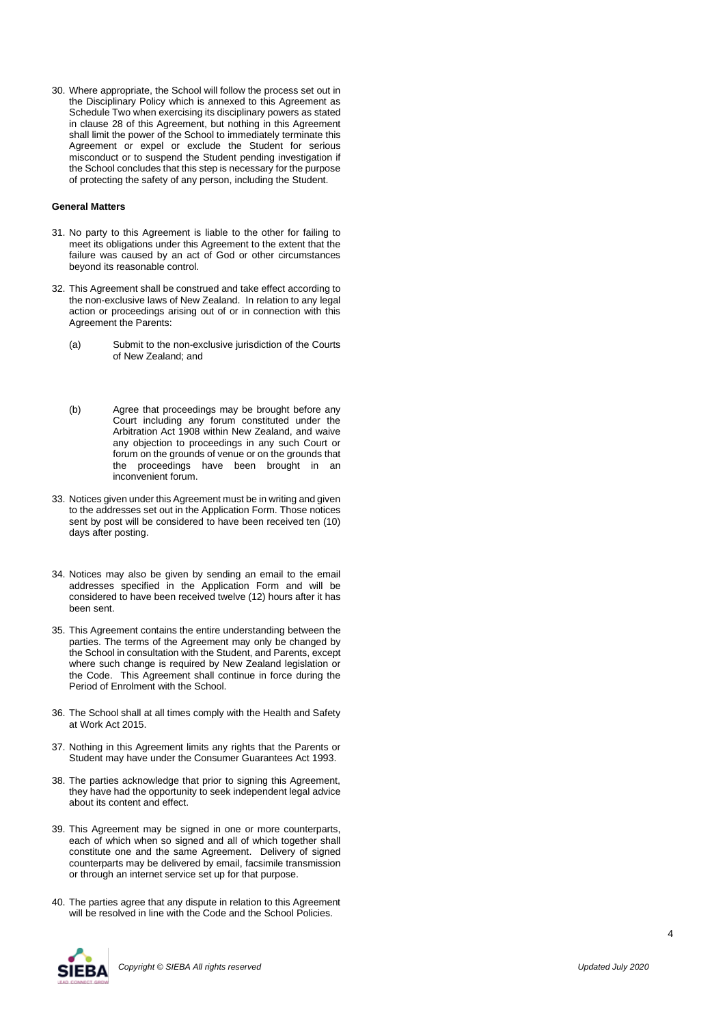30. Where appropriate, the School will follow the process set out in the Disciplinary Policy which is annexed to this Agreement as Schedule Two when exercising its disciplinary powers as stated in clause 28 of this Agreement, but nothing in this Agreement shall limit the power of the School to immediately terminate this Agreement or expel or exclude the Student for serious misconduct or to suspend the Student pending investigation if the School concludes that this step is necessary for the purpose of protecting the safety of any person, including the Student.

#### **General Matters**

- 31. No party to this Agreement is liable to the other for failing to meet its obligations under this Agreement to the extent that the failure was caused by an act of God or other circumstances beyond its reasonable control.
- 32. This Agreement shall be construed and take effect according to the non-exclusive laws of New Zealand. In relation to any legal action or proceedings arising out of or in connection with this Agreement the Parents:
	- (a) Submit to the non-exclusive jurisdiction of the Courts of New Zealand; and
	- (b) Agree that proceedings may be brought before any Court including any forum constituted under the Arbitration Act 1908 within New Zealand, and waive any objection to proceedings in any such Court or forum on the grounds of venue or on the grounds that the proceedings have been brought in an inconvenient forum.
- 33. Notices given under this Agreement must be in writing and given to the addresses set out in the Application Form. Those notices sent by post will be considered to have been received ten (10) days after posting.
- 34. Notices may also be given by sending an email to the email addresses specified in the Application Form and will be considered to have been received twelve (12) hours after it has been sent.
- 35. This Agreement contains the entire understanding between the parties. The terms of the Agreement may only be changed by the School in consultation with the Student, and Parents, except where such change is required by New Zealand legislation or the Code. This Agreement shall continue in force during the Period of Enrolment with the School.
- 36. The School shall at all times comply with the Health and Safety at Work Act 2015.
- 37. Nothing in this Agreement limits any rights that the Parents or Student may have under the Consumer Guarantees Act 1993.
- 38. The parties acknowledge that prior to signing this Agreement, they have had the opportunity to seek independent legal advice about its content and effect.
- 39. This Agreement may be signed in one or more counterparts, each of which when so signed and all of which together shall constitute one and the same Agreement. Delivery of signed counterparts may be delivered by email, facsimile transmission or through an internet service set up for that purpose.
- 40. The parties agree that any dispute in relation to this Agreement will be resolved in line with the Code and the School Policies.

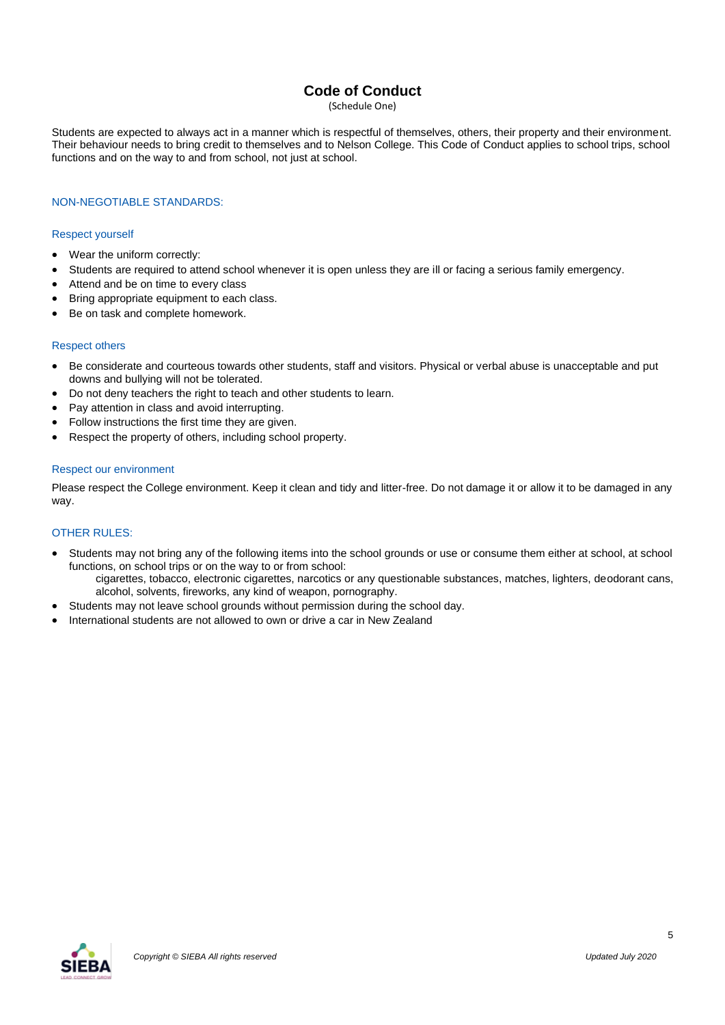# **Code of Conduct**

(Schedule One)

Students are expected to always act in a manner which is respectful of themselves, others, their property and their environment. Their behaviour needs to bring credit to themselves and to Nelson College. This Code of Conduct applies to school trips, school functions and on the way to and from school, not just at school.

# NON-NEGOTIABLE STANDARDS:

## Respect yourself

- Wear the uniform correctly:
- Students are required to attend school whenever it is open unless they are ill or facing a serious family emergency.
- Attend and be on time to every class
- Bring appropriate equipment to each class.
- Be on task and complete homework.

## Respect others

- Be considerate and courteous towards other students, staff and visitors. Physical or verbal abuse is unacceptable and put downs and bullying will not be tolerated.
- Do not deny teachers the right to teach and other students to learn.
- Pay attention in class and avoid interrupting.
- Follow instructions the first time they are given.
- Respect the property of others, including school property.

## Respect our environment

Please respect the College environment. Keep it clean and tidy and litter-free. Do not damage it or allow it to be damaged in any way.

## OTHER RULES:

- Students may not bring any of the following items into the school grounds or use or consume them either at school, at school functions, on school trips or on the way to or from school: cigarettes, tobacco, electronic cigarettes, narcotics or any questionable substances, matches, lighters, deodorant cans,
- alcohol, solvents, fireworks, any kind of weapon, pornography. Students may not leave school grounds without permission during the school day.
- 
- International students are not allowed to own or drive a car in New Zealand

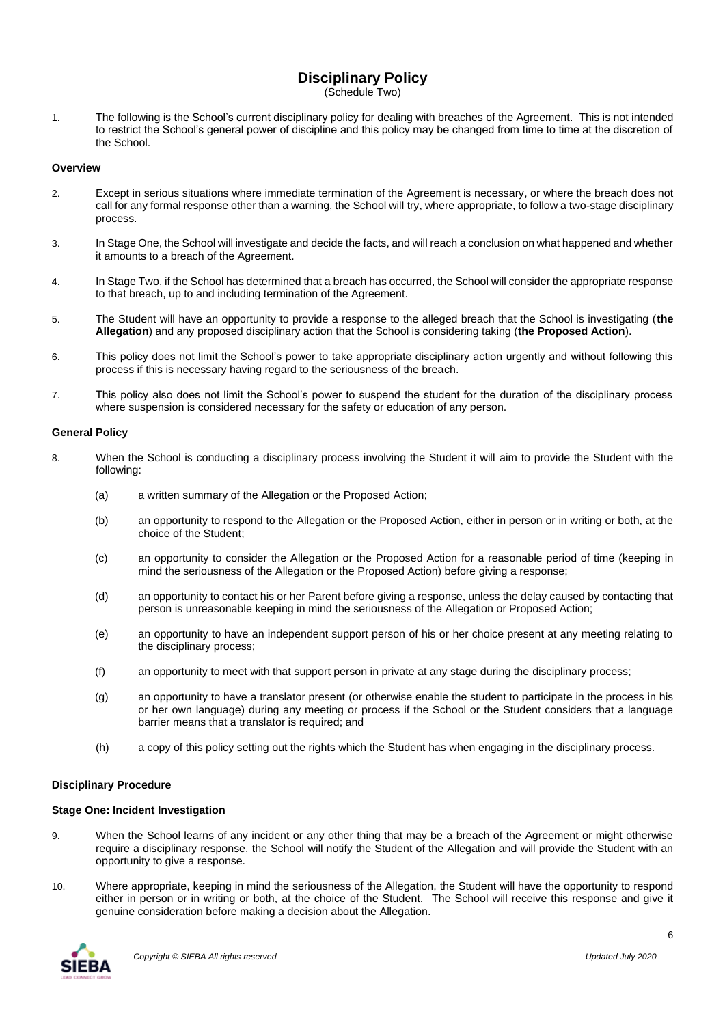# **Disciplinary Policy**

(Schedule Two)

1. The following is the School's current disciplinary policy for dealing with breaches of the Agreement. This is not intended to restrict the School's general power of discipline and this policy may be changed from time to time at the discretion of the School.

## **Overview**

- 2. Except in serious situations where immediate termination of the Agreement is necessary, or where the breach does not call for any formal response other than a warning, the School will try, where appropriate, to follow a two-stage disciplinary process.
- 3. In Stage One, the School will investigate and decide the facts, and will reach a conclusion on what happened and whether it amounts to a breach of the Agreement.
- 4. In Stage Two, if the School has determined that a breach has occurred, the School will consider the appropriate response to that breach, up to and including termination of the Agreement.
- 5. The Student will have an opportunity to provide a response to the alleged breach that the School is investigating (**the Allegation**) and any proposed disciplinary action that the School is considering taking (**the Proposed Action**).
- 6. This policy does not limit the School's power to take appropriate disciplinary action urgently and without following this process if this is necessary having regard to the seriousness of the breach.
- 7. This policy also does not limit the School's power to suspend the student for the duration of the disciplinary process where suspension is considered necessary for the safety or education of any person.

# **General Policy**

- 8. When the School is conducting a disciplinary process involving the Student it will aim to provide the Student with the following:
	- (a) a written summary of the Allegation or the Proposed Action;
	- (b) an opportunity to respond to the Allegation or the Proposed Action, either in person or in writing or both, at the choice of the Student;
	- (c) an opportunity to consider the Allegation or the Proposed Action for a reasonable period of time (keeping in mind the seriousness of the Allegation or the Proposed Action) before giving a response;
	- (d) an opportunity to contact his or her Parent before giving a response, unless the delay caused by contacting that person is unreasonable keeping in mind the seriousness of the Allegation or Proposed Action;
	- (e) an opportunity to have an independent support person of his or her choice present at any meeting relating to the disciplinary process;
	- (f) an opportunity to meet with that support person in private at any stage during the disciplinary process;
	- (g) an opportunity to have a translator present (or otherwise enable the student to participate in the process in his or her own language) during any meeting or process if the School or the Student considers that a language barrier means that a translator is required; and
	- (h) a copy of this policy setting out the rights which the Student has when engaging in the disciplinary process.

## **Disciplinary Procedure**

## **Stage One: Incident Investigation**

- 9. When the School learns of any incident or any other thing that may be a breach of the Agreement or might otherwise require a disciplinary response, the School will notify the Student of the Allegation and will provide the Student with an opportunity to give a response.
- 10. Where appropriate, keeping in mind the seriousness of the Allegation, the Student will have the opportunity to respond either in person or in writing or both, at the choice of the Student. The School will receive this response and give it genuine consideration before making a decision about the Allegation.

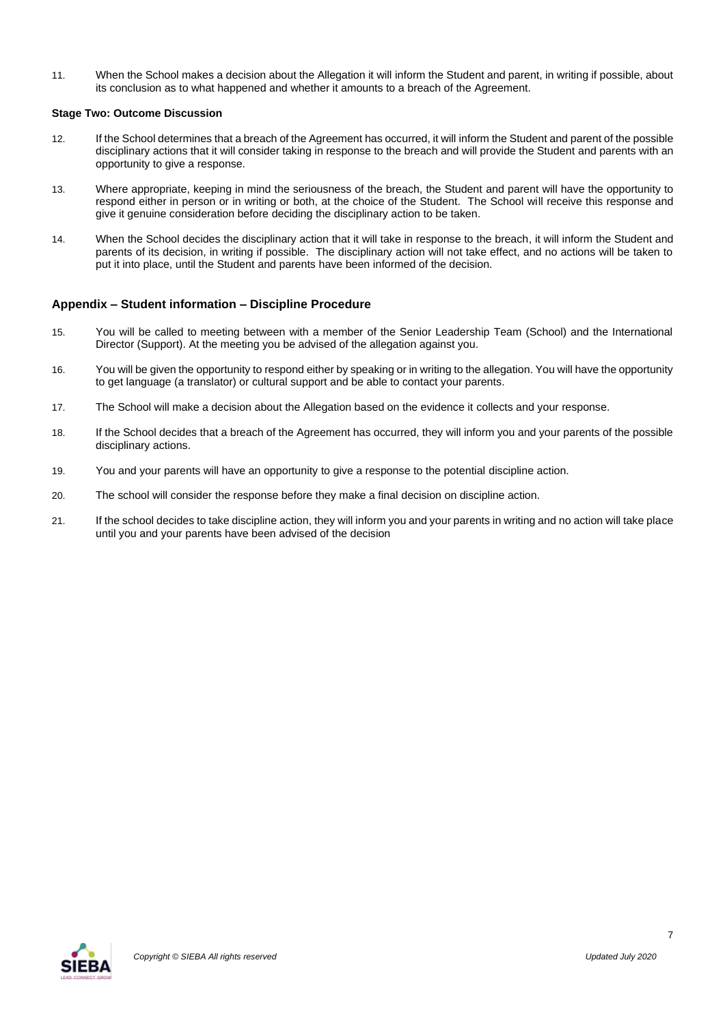11. When the School makes a decision about the Allegation it will inform the Student and parent, in writing if possible, about its conclusion as to what happened and whether it amounts to a breach of the Agreement.

# **Stage Two: Outcome Discussion**

- 12. If the School determines that a breach of the Agreement has occurred, it will inform the Student and parent of the possible disciplinary actions that it will consider taking in response to the breach and will provide the Student and parents with an opportunity to give a response.
- 13. Where appropriate, keeping in mind the seriousness of the breach, the Student and parent will have the opportunity to respond either in person or in writing or both, at the choice of the Student. The School will receive this response and give it genuine consideration before deciding the disciplinary action to be taken.
- 14. When the School decides the disciplinary action that it will take in response to the breach, it will inform the Student and parents of its decision, in writing if possible. The disciplinary action will not take effect, and no actions will be taken to put it into place, until the Student and parents have been informed of the decision.

# **Appendix – Student information – Discipline Procedure**

- 15. You will be called to meeting between with a member of the Senior Leadership Team (School) and the International Director (Support). At the meeting you be advised of the allegation against you.
- 16. You will be given the opportunity to respond either by speaking or in writing to the allegation. You will have the opportunity to get language (a translator) or cultural support and be able to contact your parents.
- 17. The School will make a decision about the Allegation based on the evidence it collects and your response.
- 18. If the School decides that a breach of the Agreement has occurred, they will inform you and your parents of the possible disciplinary actions.
- 19. You and your parents will have an opportunity to give a response to the potential discipline action.
- 20. The school will consider the response before they make a final decision on discipline action.
- 21. If the school decides to take discipline action, they will inform you and your parents in writing and no action will take place until you and your parents have been advised of the decision

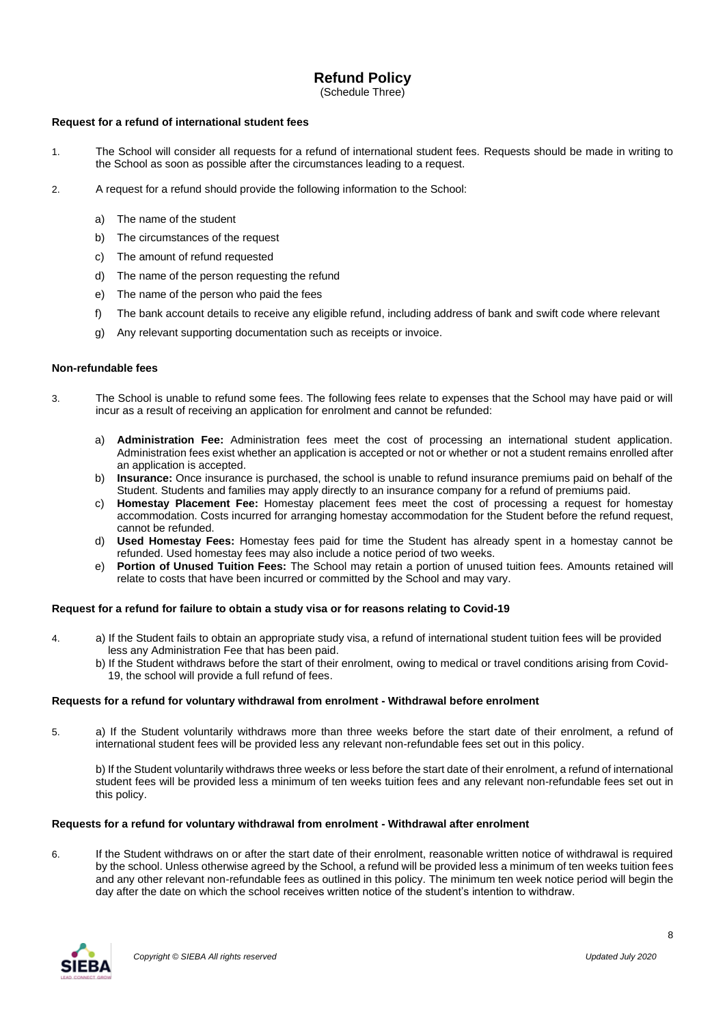# **Refund Policy**

(Schedule Three)

# **Request for a refund of international student fees**

- 1. The School will consider all requests for a refund of international student fees. Requests should be made in writing to the School as soon as possible after the circumstances leading to a request.
- 2. A request for a refund should provide the following information to the School:
	- a) The name of the student
	- b) The circumstances of the request
	- c) The amount of refund requested
	- d) The name of the person requesting the refund
	- e) The name of the person who paid the fees
	- f) The bank account details to receive any eligible refund, including address of bank and swift code where relevant
	- g) Any relevant supporting documentation such as receipts or invoice.

## **Non-refundable fees**

- 3. The School is unable to refund some fees. The following fees relate to expenses that the School may have paid or will incur as a result of receiving an application for enrolment and cannot be refunded:
	- a) **Administration Fee:** Administration fees meet the cost of processing an international student application. Administration fees exist whether an application is accepted or not or whether or not a student remains enrolled after an application is accepted.
	- b) **Insurance:** Once insurance is purchased, the school is unable to refund insurance premiums paid on behalf of the Student. Students and families may apply directly to an insurance company for a refund of premiums paid.
	- c) **Homestay Placement Fee:** Homestay placement fees meet the cost of processing a request for homestay accommodation. Costs incurred for arranging homestay accommodation for the Student before the refund request, cannot be refunded.
	- d) **Used Homestay Fees:** Homestay fees paid for time the Student has already spent in a homestay cannot be refunded. Used homestay fees may also include a notice period of two weeks.
	- e) **Portion of Unused Tuition Fees:** The School may retain a portion of unused tuition fees. Amounts retained will relate to costs that have been incurred or committed by the School and may vary.

## **Request for a refund for failure to obtain a study visa or for reasons relating to Covid-19**

- 4. a) If the Student fails to obtain an appropriate study visa, a refund of international student tuition fees will be provided less any Administration Fee that has been paid.
	- b) If the Student withdraws before the start of their enrolment, owing to medical or travel conditions arising from Covid- 19, the school will provide a full refund of fees.

## **Requests for a refund for voluntary withdrawal from enrolment - Withdrawal before enrolment**

5. a) If the Student voluntarily withdraws more than three weeks before the start date of their enrolment, a refund of international student fees will be provided less any relevant non-refundable fees set out in this policy.

b) If the Student voluntarily withdraws three weeks or less before the start date of their enrolment, a refund of international student fees will be provided less a minimum of ten weeks tuition fees and any relevant non-refundable fees set out in this policy.

## **Requests for a refund for voluntary withdrawal from enrolment - Withdrawal after enrolment**

6. If the Student withdraws on or after the start date of their enrolment, reasonable written notice of withdrawal is required by the school. Unless otherwise agreed by the School, a refund will be provided less a minimum of ten weeks tuition fees and any other relevant non-refundable fees as outlined in this policy. The minimum ten week notice period will begin the day after the date on which the school receives written notice of the student's intention to withdraw.

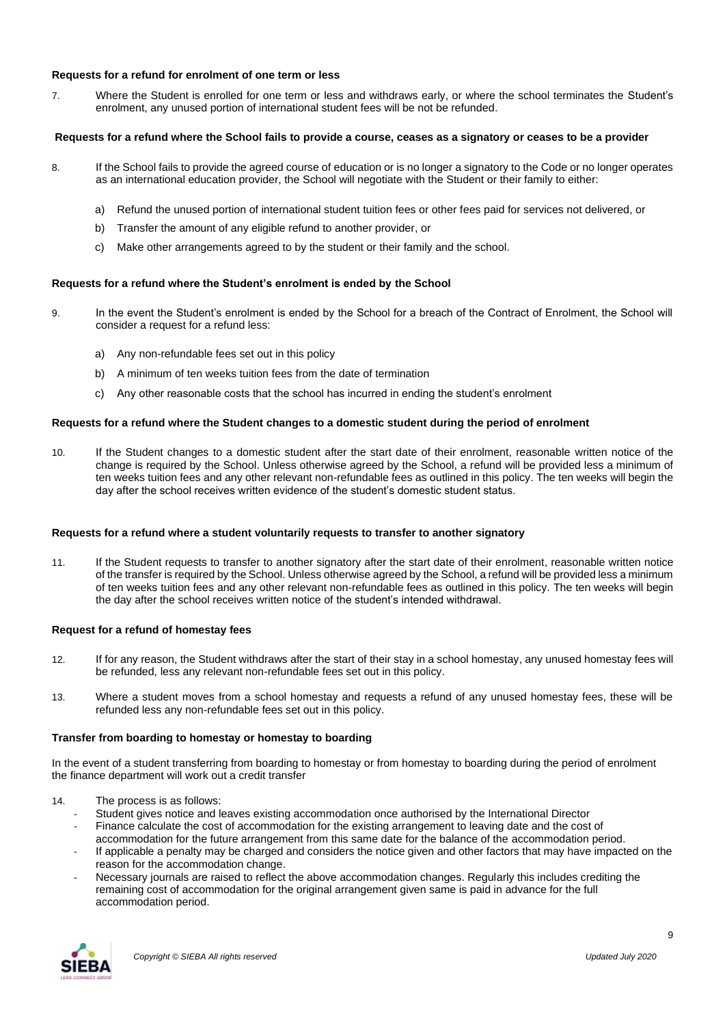# **Requests for a refund for enrolment of one term or less**

7. Where the Student is enrolled for one term or less and withdraws early, or where the school terminates the Student's enrolment, any unused portion of international student fees will be not be refunded.

# **Requests for a refund where the School fails to provide a course, ceases as a signatory or ceases to be a provider**

- 8. If the School fails to provide the agreed course of education or is no longer a signatory to the Code or no longer operates as an international education provider, the School will negotiate with the Student or their family to either:
	- a) Refund the unused portion of international student tuition fees or other fees paid for services not delivered, or
	- b) Transfer the amount of any eligible refund to another provider, or
	- c) Make other arrangements agreed to by the student or their family and the school.

# **Requests for a refund where the Student's enrolment is ended by the School**

- 9. In the event the Student's enrolment is ended by the School for a breach of the Contract of Enrolment, the School will consider a request for a refund less:
	- a) Any non-refundable fees set out in this policy
	- b) A minimum of ten weeks tuition fees from the date of termination
	- c) Any other reasonable costs that the school has incurred in ending the student's enrolment

## **Requests for a refund where the Student changes to a domestic student during the period of enrolment**

10. If the Student changes to a domestic student after the start date of their enrolment, reasonable written notice of the change is required by the School. Unless otherwise agreed by the School, a refund will be provided less a minimum of ten weeks tuition fees and any other relevant non-refundable fees as outlined in this policy. The ten weeks will begin the day after the school receives written evidence of the student's domestic student status.

## **Requests for a refund where a student voluntarily requests to transfer to another signatory**

11. If the Student requests to transfer to another signatory after the start date of their enrolment, reasonable written notice of the transfer is required by the School. Unless otherwise agreed by the School, a refund will be provided less a minimum of ten weeks tuition fees and any other relevant non-refundable fees as outlined in this policy. The ten weeks will begin the day after the school receives written notice of the student's intended withdrawal.

## **Request for a refund of homestay fees**

- 12. If for any reason, the Student withdraws after the start of their stay in a school homestay, any unused homestay fees will be refunded, less any relevant non-refundable fees set out in this policy.
- 13. Where a student moves from a school homestay and requests a refund of any unused homestay fees, these will be refunded less any non-refundable fees set out in this policy.

# **Transfer from boarding to homestay or homestay to boarding**

In the event of a student transferring from boarding to homestay or from homestay to boarding during the period of enrolment the finance department will work out a credit transfer

- 14. The process is as follows:
	- Student gives notice and leaves existing accommodation once authorised by the International Director
	- Finance calculate the cost of accommodation for the existing arrangement to leaving date and the cost of accommodation for the future arrangement from this same date for the balance of the accommodation period.
	- If applicable a penalty may be charged and considers the notice given and other factors that may have impacted on the reason for the accommodation change.
	- Necessary journals are raised to reflect the above accommodation changes. Regularly this includes crediting the remaining cost of accommodation for the original arrangement given same is paid in advance for the full accommodation period.